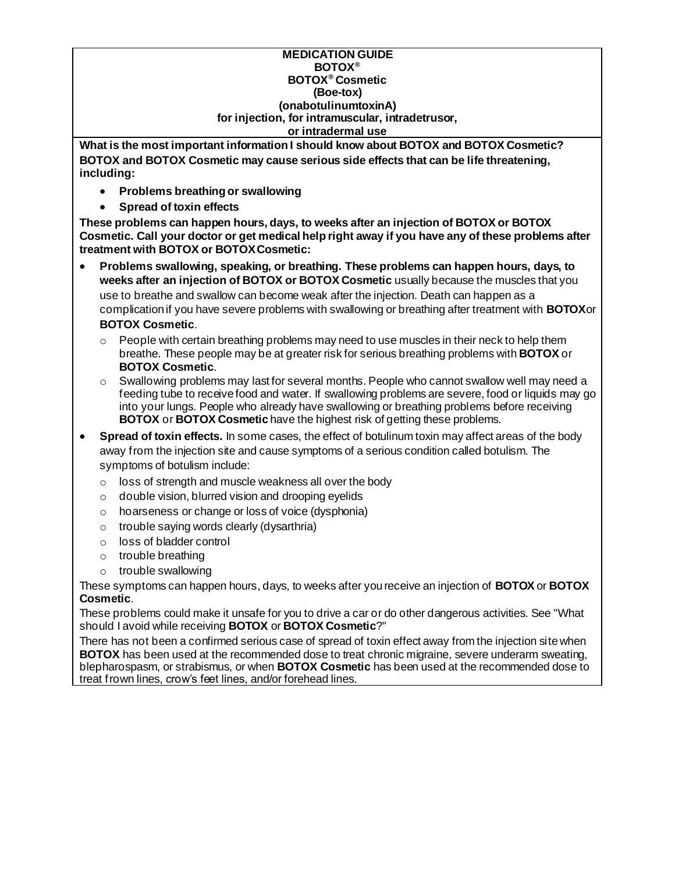#### **MEDICATION GUIDE BOTOX® BOTOX® Cosmetic (Boe-tox) (onabotulinumtoxinA) for injection, for intramuscular, intradetrusor, or intradermal use**

**What is the most important information I should know about BOTOX and BOTOX Cosmetic? BOTOX and BOTOX Cosmetic may cause serious side effects that can be life threatening, including:**

- **Problems breathing or swallowing**
- **Spread of toxin effects**

**These problems can happen hours, days, to weeks after an injection of BOTOX or BOTOX Cosmetic. Call your doctor or get medical help right away if you have any of these problems after treatment with BOTOX or BOTOXCosmetic:**

- **Problems swallowing, speaking, or breathing. These problems can happen hours, days, to weeks after an injection of BOTOX or BOTOX Cosmetic** usually because the muscles that you use to breathe and swallow can become weak after the injection. Death can happen as a complication if you have severe problems with swallowing or breathing after treatment with **BOTOX**or **BOTOX Cosmetic**.
	- $\circ$  People with certain breathing problems may need to use muscles in their neck to help them breathe. These people may be at greater risk for serious breathing problems with **BOTOX** or **BOTOX Cosmetic**.
	- $\circ$  Swallowing problems may last for several months. People who cannot swallow well may need a feeding tube to receive food and water. If swallowing problems are severe, food or liquids may go into your lungs. People who already have swallowing or breathing problems before receiving **BOTOX** or **BOTOX Cosmetic** have the highest risk of getting these problems.
- **Spread of toxin effects.** In some cases, the effect of botulinum toxin may affect areas of the body away from the injection site and cause symptoms of a serious condition called botulism. The symptoms of botulism include:
	- o loss of strength and muscle weakness all over the body
	- o double vision, blurred vision and drooping eyelids
	- o hoarseness or change or loss of voice (dysphonia)
	- $\circ$  trouble saying words clearly (dysarthria)
	- o loss of bladder control
	- o trouble breathing
	- o trouble swallowing

These symptoms can happen hours, days, to weeks after you receive an injection of **BOTOX** or **BOTOX Cosmetic**.

These problems could make it unsafe for you to drive a car or do other dangerous activities. See "What should I avoid while receiving **BOTOX** or **BOTOX Cosmetic**?"

There has not been a confirmed serious case of spread of toxin effect away from the injection site when **BOTOX** has been used at the recommended dose to treat chronic migraine, severe underarm sweating, blepharospasm, or strabismus, or when **BOTOX Cosmetic** has been used at the recommended dose to treat frown lines, crow's feet lines, and/or forehead lines.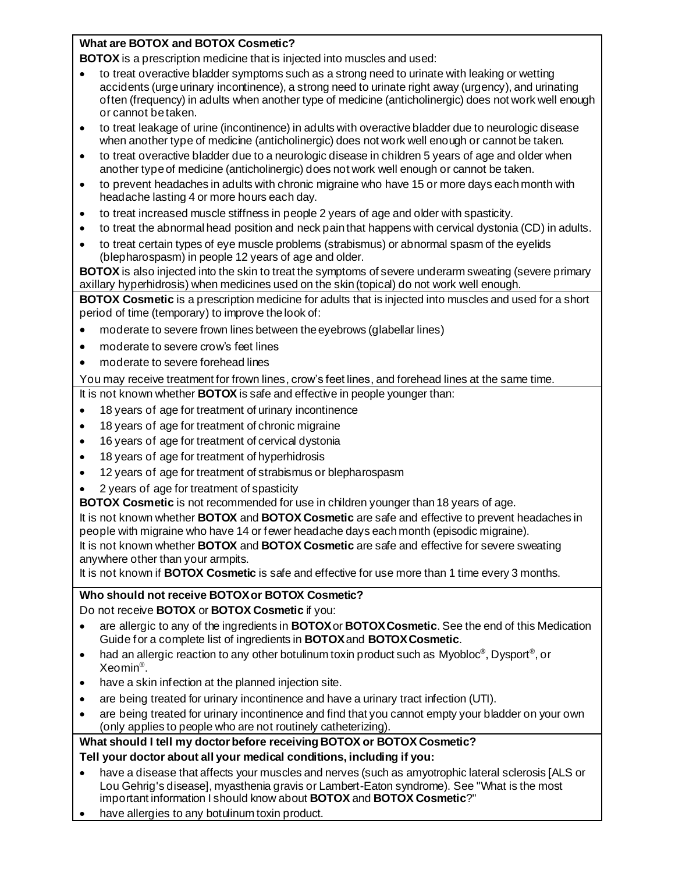#### **What are BOTOX and BOTOX Cosmetic?**

**BOTOX** is a prescription medicine that is injected into muscles and used:

- to treat overactive bladder symptoms such as a strong need to urinate with leaking or wetting accidents (urge urinary incontinence), a strong need to urinate right away (urgency), and urinating often (frequency) in adults when another type of medicine (anticholinergic) does not work well enough or cannot be taken.
- to treat leakage of urine (incontinence) in adults with overactive bladder due to neurologic disease when another type of medicine (anticholinergic) does not work well enough or cannot be taken.
- to treat overactive bladder due to a neurologic disease in children 5 years of age and older when another type of medicine (anticholinergic) does not work well enough or cannot be taken.
- to prevent headaches in adults with chronic migraine who have 15 or more days each month with headache lasting 4 or more hours each day.
- to treat increased muscle stiffness in people 2 years of age and older with spasticity.
- to treat the abnormal head position and neck pain that happens with cervical dystonia (CD) in adults.
- to treat certain types of eye muscle problems (strabismus) or abnormal spasm of the eyelids (blepharospasm) in people 12 years of age and older.

**BOTOX** is also injected into the skin to treat the symptoms of severe underarm sweating (severe primary axillary hyperhidrosis) when medicines used on the skin (topical) do not work well enough.

**BOTOX Cosmetic** is a prescription medicine for adults that is injected into muscles and used for a short period of time (temporary) to improve the look of:

- moderate to severe frown lines between the eyebrows (glabellar lines)
- moderate to severe crow's feet lines
- moderate to severe forehead lines

You may receive treatment for frown lines, crow's feet lines, and forehead lines at the same time.

It is not known whether **BOTOX** is safe and effective in people younger than:

- 18 years of age for treatment of urinary incontinence
- 18 years of age for treatment of chronic migraine
- 16 years of age for treatment of cervical dystonia
- 18 years of age for treatment of hyperhidrosis
- 12 years of age for treatment of strabismus or blepharospasm
- 2 years of age for treatment of spasticity

**BOTOX Cosmetic** is not recommended for use in children younger than 18 years of age.

It is not known whether **BOTOX** and **BOTOX Cosmetic** are safe and effective to prevent headaches in people with migraine who have 14 or fewer headache days each month (episodic migraine).

It is not known whether **BOTOX** and **BOTOX Cosmetic** are safe and effective for severe sweating anywhere other than your armpits.

It is not known if **BOTOX Cosmetic** is safe and effective for use more than 1 time every 3 months.

# **Who should not receive BOTOXor BOTOX Cosmetic?**

Do not receive **BOTOX** or **BOTOX Cosmetic** if you:

- are allergic to any of the ingredients in **BOTOX**or **BOTOXCosmetic**. See the end of this Medication Guide for a complete list of ingredients in **BOTOX**and **BOTOXCosmetic**.
- had an allergic reaction to any other botulinum toxin product such as Myobloc<sup>®</sup>, Dysport<sup>®</sup>, or Xeomin® .
- have a skin infection at the planned injection site.
- are being treated for urinary incontinence and have a urinary tract infection (UTI).
- are being treated for urinary incontinence and find that you cannot empty your bladder on your own (only applies to people who are not routinely catheterizing).

#### **What should I tell my doctor before receiving BOTOX or BOTOX Cosmetic? Tell your doctor about all your medical conditions, including if you:**

- have a disease that affects your muscles and nerves (such as amyotrophic lateral sclerosis [ALS or Lou Gehrig's disease], myasthenia gravis or Lambert-Eaton syndrome). See "What is the most important information I should know about **BOTOX** and **BOTOX Cosmetic**?"
- have allergies to any botulinum toxin product.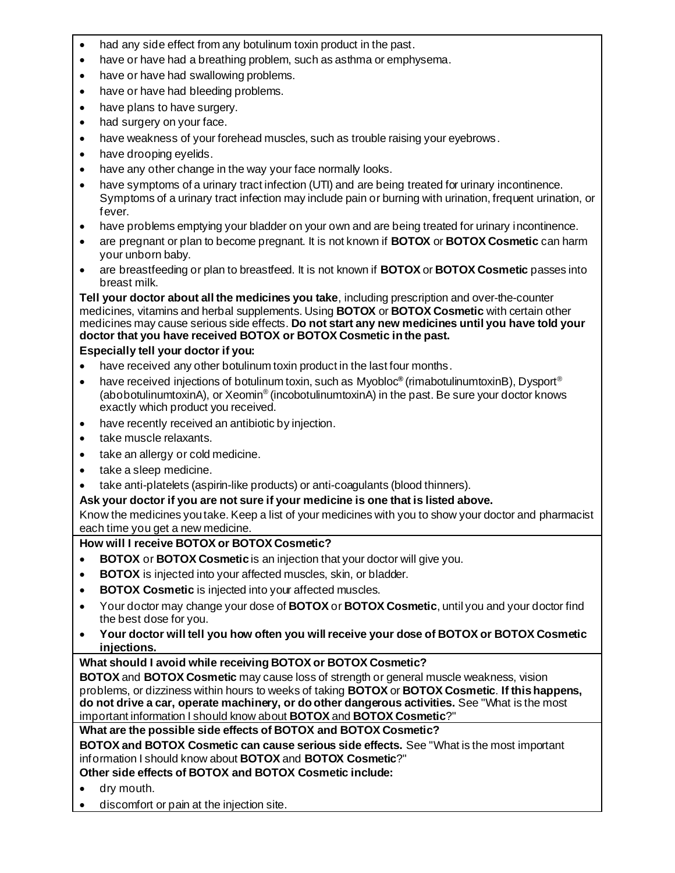- had any side effect from any botulinum toxin product in the past.
- have or have had a breathing problem, such as asthma or emphysema.
- have or have had swallowing problems.
- have or have had bleeding problems.
- have plans to have surgery.
- had surgery on your face.
- have weakness of your forehead muscles, such as trouble raising your eyebrows.
- have drooping evelids.
- have any other change in the way your face normally looks.
- have symptoms of a urinary tract infection (UTI) and are being treated for urinary incontinence. Symptoms of a urinary tract infection may include pain or burning with urination, frequent urination, or fever.
- have problems emptying your bladder on your own and are being treated for urinary incontinence.
- are pregnant or plan to become pregnant. It is not known if **BOTOX** or **BOTOX Cosmetic** can harm your unborn baby.
- are breastfeeding or plan to breastfeed. It is not known if **BOTOX** or **BOTOX Cosmetic** passes into breast milk.

**Tell your doctor about all the medicines you take**, including prescription and over-the-counter medicines, vitamins and herbal supplements. Using **BOTOX** or **BOTOX Cosmetic** with certain other medicines may cause serious side effects. **Do not start any new medicines until you have told your doctor that you have received BOTOX or BOTOX Cosmetic in the past.**

## **Especially tell your doctor if you:**

- have received any other botulinum toxin product in the last four months.
- have received injections of botulinum toxin, such as Myobloc**®** (rimabotulinumtoxinB), Dysport® (abobotulinumtoxinA), or Xeomin® (incobotulinumtoxinA) in the past. Be sure your doctor knows exactly which product you received.
- have recently received an antibiotic by injection.
- take muscle relaxants.
- take an allergy or cold medicine.
- take a sleep medicine.
- take anti-platelets (aspirin-like products) or anti-coagulants (blood thinners).

## **Ask your doctor if you are not sure if your medicine is one that is listed above.**

Know the medicines you take. Keep a list of your medicines with you to show your doctor and pharmacist each time you get a new medicine.

## **How will I receive BOTOX or BOTOX Cosmetic?**

- **BOTOX** or **BOTOX Cosmetic** is an injection that your doctor will give you.
- **BOTOX** is injected into your affected muscles, skin, or bladder.
- **BOTOX Cosmetic** is injected into your affected muscles.
- Your doctor may change your dose of **BOTOX** or **BOTOX Cosmetic**, until you and your doctor find the best dose for you.
- **Your doctor will tell you how often you will receive your dose of BOTOX or BOTOX Cosmetic injections.**

## **What should I avoid while receiving BOTOX or BOTOX Cosmetic?**

**BOTOX** and **BOTOX Cosmetic** may cause loss of strength or general muscle weakness, vision problems, or dizziness within hours to weeks of taking **BOTOX** or **BOTOX Cosmetic**. **If this happens, do not drive a car, operate machinery, or do other dangerous activities.** See "What is the most important information I should know about **BOTOX** and **BOTOX Cosmetic**?"

## **What are the possible side effects of BOTOX and BOTOX Cosmetic?**

**BOTOX and BOTOX Cosmetic can cause serious side effects.** See "What is the most important information I should know about **BOTOX** and **BOTOX Cosmetic**?"

**Other side effects of BOTOX and BOTOX Cosmetic include:**

- dry mouth.
- discomfort or pain at the injection site.